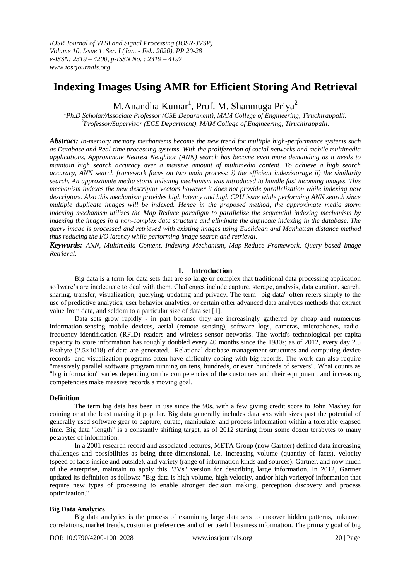# **Indexing Images Using AMR for Efficient Storing And Retrieval**

M.Anandha  $Kumar<sup>1</sup>$ , Prof. M. Shanmuga Priya<sup>2</sup>

*<sup>1</sup>Ph.D Scholar/Associate Professor (CSE Department), MAM College of Engineering, Tiruchirappalli. <sup>2</sup>Professor/Supervisor (ECE Department), MAM College of Engineering, Tiruchirappalli.*

*Abstract: In-memory memory mechanisms become the new trend for multiple high-performance systems such as Database and Real-time processing systems. With the proliferation of social networks and mobile multimedia applications, Approximate Nearest Neighbor (ANN) search has become even more demanding as it needs to maintain high search accuracy over a massive amount of multimedia content. To achieve a high search accuracy, ANN search framework focus on two main process: i) the efficient index/storage ii) the similarity search. An approximate media storm indexing mechanism was introduced to handle fast incoming images. This mechanism indexes the new descriptor vectors however it does not provide parallelization while indexing new descriptors. Also this mechanism provides high latency and high CPU issue while performing ANN search since multiple duplicate images will be indexed. Hence in the proposed method, the approximate media storm indexing mechanism utilizes the Map Reduce paradigm to parallelize the sequential indexing mechanism by indexing the images in a non-complex data structure and eliminate the duplicate indexing in the database. The query image is processed and retrieved with existing images using Euclidean and Manhattan distance method thus reducing the I/O latency while performing image search and retrieval.*

*Keywords: ANN, Multimedia Content, Indexing Mechanism, Map-Reduce Framework, Query based Image Retrieval.*

# **I. Introduction**

Big data is a term for data sets that are so large or complex that traditional data processing application software's are inadequate to deal with them. Challenges include capture, storage, analysis, data curation, search, sharing, transfer, visualization, querying, updating and privacy. The term "big data" often refers simply to the use of predictive analytics, user behavior analytics, or certain other advanced data analytics methods that extract value from data, and seldom to a particular size of data set [1].

Data sets grow rapidly - in part because they are increasingly gathered by cheap and numerous information-sensing mobile devices, aerial (remote sensing), software logs, cameras, microphones, radiofrequency identification (RFID) readers and wireless sensor networks. The world's technological per-capita capacity to store information has roughly doubled every 40 months since the 1980s; as of 2012, every day 2.5 Exabyte (2.5×1018) of data are generated. Relational database management structures and computing device records- and visualization-programs often have difficulty coping with big records. The work can also require "massively parallel software program running on tens, hundreds, or even hundreds of servers". What counts as "big information" varies depending on the competencies of the customers and their equipment, and increasing competencies make massive records a moving goal.

# **Definition**

The term big data has been in use since the 90s, with a few giving credit score to John Mashey for coining or at the least making it popular. Big data generally includes data sets with sizes past the potential of generally used software gear to capture, curate, manipulate, and process information within a tolerable elapsed time. Big data "length" is a constantly shifting target, as of 2012 starting from some dozen terabytes to many petabytes of information.

In a 2001 research record and associated lectures, META Group (now Gartner) defined data increasing challenges and possibilities as being three-dimensional, i.e. Increasing volume (quantity of facts), velocity (speed of facts inside and outside), and variety (range of information kinds and sources). Gartner, and now much of the enterprise, maintain to apply this "3Vs" version for describing large information. In 2012, Gartner updated its definition as follows: "Big data is high volume, high velocity, and/or high varietyof information that require new types of processing to enable stronger decision making, perception discovery and process optimization."

# **Big Data Analytics**

Big data analytics is the process of examining large data sets to uncover hidden patterns, unknown correlations, market trends, customer preferences and other useful business information. The primary goal of big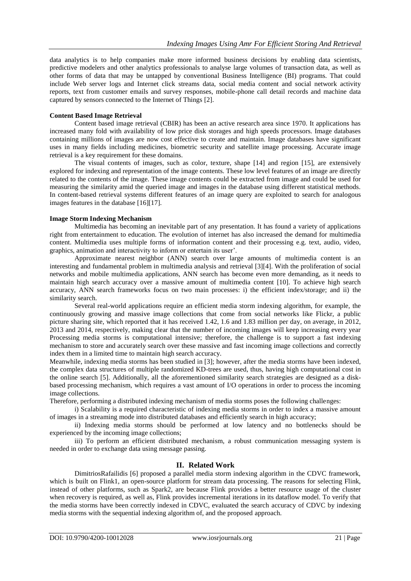data analytics is to help companies make more informed business decisions by enabling data scientists, predictive modelers and other analytics professionals to analyse large volumes of transaction data, as well as other forms of data that may be untapped by conventional Business Intelligence (BI) programs. That could include Web server logs and Internet click streams data, social media content and social network activity reports, text from customer emails and survey responses, mobile-phone call detail records and machine data captured by sensors connected to the Internet of Things [2].

# **Content Based Image Retrieval**

Content based image retrieval (CBIR) has been an active research area since 1970. It applications has increased many fold with availability of low price disk storages and high speeds processors. Image databases containing millions of images are now cost effective to create and maintain. Image databases have significant uses in many fields including medicines, biometric security and satellite image processing. Accurate image retrieval is a key requirement for these domains.

The visual contents of images, such as color, texture, shape [14] and region [15], are extensively explored for indexing and representation of the image contents. These low level features of an image are directly related to the contents of the image. These image contents could be extracted from image and could be used for measuring the similarity amid the queried image and images in the database using different statistical methods. In content-based retrieval systems different features of an image query are exploited to search for analogous images features in the database [16][17].

# **Image Storm Indexing Mechanism**

Multimedia has becoming an inevitable part of any presentation. It has found a variety of applications right from entertainment to education. The evolution of internet has also increased the demand for multimedia content. Multimedia uses multiple forms of information content and their processing e.g. text, audio, video, graphics, animation and interactivity to inform or entertain its user".

Approximate nearest neighbor (ANN) search over large amounts of multimedia content is an interesting and fundamental problem in multimedia analysis and retrieval [3][4]. With the proliferation of social networks and mobile multimedia applications, ANN search has become even more demanding, as it needs to maintain high search accuracy over a massive amount of multimedia content [10]. To achieve high search accuracy, ANN search frameworks focus on two main processes: i) the efficient index/storage; and ii) the similarity search.

Several real-world applications require an efficient media storm indexing algorithm, for example, the continuously growing and massive image collections that come from social networks like Flickr, a public picture sharing site, which reported that it has received 1.42, 1.6 and 1.83 million per day, on average, in 2012, 2013 and 2014, respectively, making clear that the number of incoming images will keep increasing every year Processing media storms is computational intensive; therefore, the challenge is to support a fast indexing mechanism to store and accurately search over these massive and fast incoming image collections and correctly index them in a limited time to maintain high search accuracy.

Meanwhile, indexing media storms has been studied in [3]; however, after the media storms have been indexed, the complex data structures of multiple randomized KD-trees are used, thus, having high computational cost in the online search [5]. Additionally, all the aforementioned similarity search strategies are designed as a diskbased processing mechanism, which requires a vast amount of I/O operations in order to process the incoming image collections.

Therefore, performing a distributed indexing mechanism of media storms poses the following challenges:

i) Scalability is a required characteristic of indexing media storms in order to index a massive amount of images in a streaming mode into distributed databases and efficiently search in high accuracy;

ii) Indexing media storms should be performed at low latency and no bottlenecks should be experienced by the incoming image collections;

iii) To perform an efficient distributed mechanism, a robust communication messaging system is needed in order to exchange data using message passing.

# **II. Related Work**

DimitriosRafailidis [6] proposed a parallel media storm indexing algorithm in the CDVC framework, which is built on Flink1, an open-source platform for stream data processing. The reasons for selecting Flink, instead of other platforms, such as Spark2, are because Flink provides a better resource usage of the cluster when recovery is required, as well as, Flink provides incremental iterations in its dataflow model. To verify that the media storms have been correctly indexed in CDVC, evaluated the search accuracy of CDVC by indexing media storms with the sequential indexing algorithm of, and the proposed approach.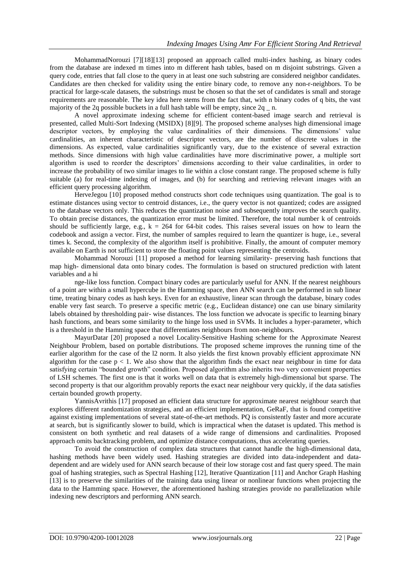MohammadNorouzi [7][18][13] proposed an approach called multi-index hashing, as binary codes from the database are indexed m times into m different hash tables, based on m disjoint substrings. Given a query code, entries that fall close to the query in at least one such substring are considered neighbor candidates. Candidates are then checked for validity using the entire binary code, to remove any non-r-neighbors. To be practical for large-scale datasets, the substrings must be chosen so that the set of candidates is small and storage requirements are reasonable. The key idea here stems from the fact that, with n binary codes of q bits, the vast majority of the 2q possible buckets in a full hash table will be empty, since  $2q$   $\ldots$ 

A novel approximate indexing scheme for efficient content-based image search and retrieval is presented, called Multi-Sort Indexing (MSIDX) [8][9]. The proposed scheme analyses high dimensional image descriptor vectors, by employing the value cardinalities of their dimensions. The dimensions' value cardinalities, an inherent characteristic of descriptor vectors, are the number of discrete values in the dimensions. As expected, value cardinalities significantly vary, due to the existence of several extraction methods. Since dimensions with high value cardinalities have more discriminative power, a multiple sort algorithm is used to reorder the descriptors' dimensions according to their value cardinalities, in order to increase the probability of two similar images to lie within a close constant range. The proposed scheme is fully suitable (a) for real-time indexing of images, and (b) for searching and retrieving relevant images with an efficient query processing algorithm.

HerveJegou [10] proposed method constructs short code techniques using quantization. The goal is to estimate distances using vector to centroid distances, i.e., the query vector is not quantized; codes are assigned to the database vectors only. This reduces the quantization noise and subsequently improves the search quality. To obtain precise distances, the quantization error must be limited. Therefore, the total number k of centroids should be sufficiently large, e.g.,  $k = 264$  for 64-bit codes. This raises several issues on how to learn the codebook and assign a vector. First, the number of samples required to learn the quantizer is huge, i.e., several times k. Second, the complexity of the algorithm itself is prohibitive. Finally, the amount of computer memory available on Earth is not sufficient to store the floating point values representing the centroids.

Mohammad Norouzi [11] proposed a method for learning similarity- preserving hash functions that map high- dimensional data onto binary codes. The formulation is based on structured prediction with latent variables and a hi

nge-like loss function. Compact binary codes are particularly useful for ANN. If the nearest neighbours of a point are within a small hypercube in the Hamming space, then ANN search can be performed in sub linear time, treating binary codes as hash keys. Even for an exhaustive, linear scan through the database, binary codes enable very fast search. To preserve a specific metric (e.g., Euclidean distance) one can use binary similarity labels obtained by thresholding pair- wise distances. The loss function we advocate is specific to learning binary hash functions, and bears some similarity to the hinge loss used in SVMs. It includes a hyper-parameter, which is a threshold in the Hamming space that differentiates neighbours from non-neighbours.

MayurDatar [20] proposed a novel Locality-Sensitive Hashing scheme for the Approximate Nearest Neighbour Problem, based on portable distributions. The proposed scheme improves the running time of the earlier algorithm for the case of the l2 norm. It also yields the first known provably efficient approximate NN algorithm for the case  $p < 1$ . We also show that the algorithm finds the exact near neighbour in time for data satisfying certain "bounded growth" condition. Proposed algorithm also inherits two very convenient properties of LSH schemes. The first one is that it works well on data that is extremely high-dimensional but sparse. The second property is that our algorithm provably reports the exact near neighbour very quickly, if the data satisfies certain bounded growth property.

YannisAvrithis [17] proposed an efficient data structure for approximate nearest neighbour search that explores different randomization strategies, and an efficient implementation, GeRaF, that is found competitive against existing implementations of several state-of-the-art methods. PQ is consistently faster and more accurate at search, but is significantly slower to build, which is impractical when the dataset is updated. This method is consistent on both synthetic and real datasets of a wide range of dimensions and cardinalities. Proposed approach omits backtracking problem, and optimize distance computations, thus accelerating queries.

To avoid the construction of complex data structures that cannot handle the high-dimensional data, hashing methods have been widely used. Hashing strategies are divided into data-independent and datadependent and are widely used for ANN search because of their low storage cost and fast query speed. The main goal of hashing strategies, such as Spectral Hashing [12], Iterative Quantization [11] and Anchor Graph Hashing [13] is to preserve the similarities of the training data using linear or nonlinear functions when projecting the data to the Hamming space. However, the aforementioned hashing strategies provide no parallelization while indexing new descriptors and performing ANN search.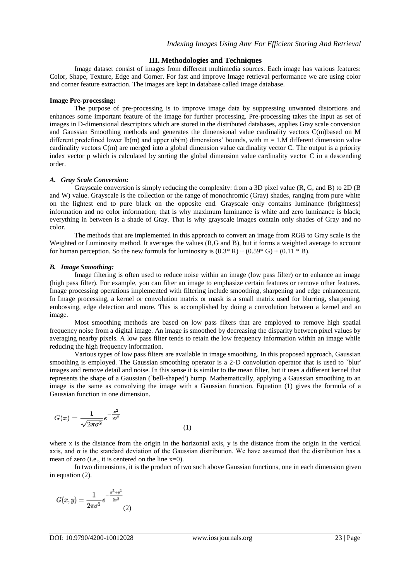# **III. Methodologies and Techniques**

Image dataset consist of images from different multimedia sources. Each image has various features: Color, Shape, Texture, Edge and Corner. For fast and improve Image retrieval performance we are using color and corner feature extraction. The images are kept in database called image database.

#### **Image Pre-processing:**

The purpose of pre-processing is to improve image data by suppressing unwanted distortions and enhances some important feature of the image for further processing. Pre-processing takes the input as set of images in D-dimensional descriptors which are stored in the distributed databases, applies Gray scale conversion and Gaussian Smoothing methods and generates the dimensional value cardinality vectors C(m)based on M different predefined lower lb(m) and upper ub(m) dimensions' bounds, with  $m = 1$ . M different dimension value cardinality vectors  $C(m)$  are merged into a global dimension value cardinality vector  $C$ . The output is a priority index vector p which is calculated by sorting the global dimension value cardinality vector C in a descending order.

# *A. Gray Scale Conversion:*

Grayscale conversion is simply reducing the complexity: from a 3D pixel value (R, G, and B) to 2D (B and W) value. Grayscale is the collection or the range of monochromic (Gray) shades, ranging from pure white on the lightest end to pure black on the opposite end. Grayscale only contains luminance (brightness) information and no color information; that is why maximum luminance is white and zero luminance is black; everything in between is a shade of Gray. That is why grayscale images contain only shades of Gray and no color.

The methods that are implemented in this approach to convert an image from RGB to Gray scale is the Weighted or Luminosity method. It averages the values (R,G and B), but it forms a weighted average to account for human perception. So the new formula for luminosity is  $(0.3* R) + (0.59* G) + (0.11* B)$ .

#### *B. Image Smoothing:*

Image filtering is often used to reduce noise within an image (low pass filter) or to enhance an image (high pass filter). For example, you can filter an image to emphasize certain features or remove other features. Image processing operations implemented with filtering include smoothing, sharpening and edge enhancement. In Image processing, a kernel or convolution matrix or mask is a small matrix used for blurring, sharpening, embossing, edge detection and more. This is accomplished by doing a convolution between a kernel and an image.

Most smoothing methods are based on low pass filters that are employed to remove high spatial frequency noise from a digital image. An image is smoothed by decreasing the disparity between pixel values by averaging nearby pixels. A low pass filter tends to retain the low frequency information within an image while reducing the high frequency information.

Various types of low pass filters are available in image smoothing. In this proposed approach, Gaussian smoothing is employed. The Gaussian smoothing operator is a 2-D convolution operator that is used to `blur' images and remove detail and noise. In this sense it is similar to the mean filter, but it uses a different kernel that represents the shape of a Gaussian (`bell-shaped') hump. Mathematically, applying a Gaussian smoothing to an image is the same as convolving the image with a Gaussian function. Equation (1) gives the formula of a Gaussian function in one dimension.

$$
G(x) = \frac{1}{\sqrt{2\pi\sigma^2}} e^{-\frac{x^2}{2\sigma^2}} \tag{1}
$$

where x is the distance from the origin in the horizontal axis, y is the distance from the origin in the vertical axis, and  $\sigma$  is the standard deviation of the Gaussian distribution. We have assumed that the distribution has a mean of zero (i.e., it is centered on the line x=0).

In two dimensions, it is the product of two such above Gaussian functions, one in each dimension given in equation (2).

$$
G(x,y)=\frac{1}{2\pi\sigma^2}e^{-\frac{x^2+y^2}{2\sigma^2}}{(2)}
$$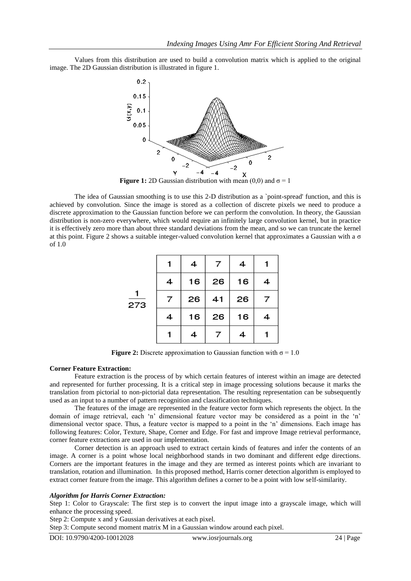Values from this distribution are used to build a convolution matrix which is applied to the original image. The 2D Gaussian distribution is illustrated in figure 1.



**Figure 1:** 2D Gaussian distribution with mean (0,0) and  $\sigma = 1$ 

The idea of Gaussian smoothing is to use this 2-D distribution as a `point-spread' function, and this is achieved by convolution. Since the image is stored as a collection of discrete pixels we need to produce a discrete approximation to the Gaussian function before we can perform the convolution. In theory, the Gaussian distribution is non-zero everywhere, which would require an infinitely large convolution kernel, but in practice it is effectively zero more than about three standard deviations from the mean, and so we can truncate the kernel at this point. Figure 2 shows a suitable integer-valued convolution kernel that approximates a Gaussian with a σ of 1.0

| 273 |   | 4  | 7  | 4  |   |
|-----|---|----|----|----|---|
|     | 4 | 16 | 26 | 16 | 4 |
|     | 7 | 26 | 41 | 26 | 7 |
|     | 4 | 16 | 26 | 16 | 4 |
|     | 1 | 4  | 7  | 4  |   |

**Figure 2:** Discrete approximation to Gaussian function with  $\sigma = 1.0$ 

#### **Corner Feature Extraction:**

Feature extraction is the process of by which certain features of interest within an image are detected and represented for further processing. It is a critical step in image processing solutions because it marks the translation from pictorial to non-pictorial data representation. The resulting representation can be subsequently used as an input to a number of pattern recognition and classification techniques.

The features of the image are represented in the feature vector form which represents the object. In the domain of image retrieval, each 'n' dimensional feature vector may be considered as a point in the 'n' dimensional vector space. Thus, a feature vector is mapped to a point in the "n" dimensions. Each image has following features: Color, Texture, Shape, Corner and Edge. For fast and improve Image retrieval performance, corner feature extractions are used in our implementation.

Corner detection is an approach used to extract certain kinds of features and infer the contents of an image. A corner is a point whose local neighborhood stands in two dominant and different edge directions. Corners are the important features in the image and they are termed as interest points which are invariant to translation, rotation and illumination. In this proposed method, Harris corner detection algorithm is employed to extract corner feature from the image. This algorithm defines a corner to be a point with low self-similarity.

## *Algorithm for Harris Corner Extraction:*

Step 1: Color to Grayscale: The first step is to convert the input image into a grayscale image, which will enhance the processing speed.

Step 2: Compute x and y Gaussian derivatives at each pixel.

Step 3: Compute second moment matrix M in a Gaussian window around each pixel.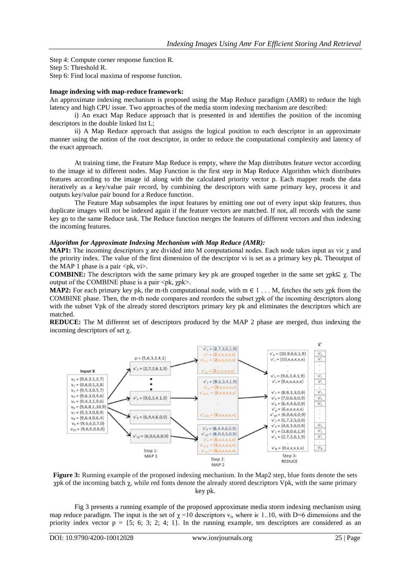Step 4: Compute corner response function R. Step 5: Threshold R. Step 6: Find local maxima of response function.

# **Image indexing with map-reduce framework:**

An approximate indexing mechanism is proposed using the Map Reduce paradigm (AMR) to reduce the high latency and high CPU issue. Two approaches of the media storm indexing mechanism are described:

i) An exact Map Reduce approach that is presented in and identifies the position of the incoming descriptors in the double linked list L;

ii) A Map Reduce approach that assigns the logical position to each descriptor in an approximate manner using the notion of the root descriptor, in order to reduce the computational complexity and latency of the exact approach.

At training time, the Feature Map Reduce is empty, where the Map distributes feature vector according to the image id to different nodes. Map Function is the first step in Map Reduce Algorithm which distributes features according to the image id along with the calculated priority vector p. Each mapper reads the data iteratively as a key/value pair record, by combining the descriptors with same primary key, process it and outputs key/value pair bound for a Reduce function.

The Feature Map subsamples the input features by emitting one out of every input skip features, thus duplicate images will not be indexed again if the feature vectors are matched. If not, all records with the same key go to the same Reduce task. The Reduce function merges the features of different vectors and thus indexing the incoming features.

# *Algorithm for Approximate Indexing Mechanism with Map Reduce (AMR):*

**MAP1:** The incoming descriptors  $\gamma$  are divided into M computational nodes. Each node takes input as vi $\epsilon \gamma$  and the priority index. The value of the first dimension of the descriptor vi is set as a primary key pk. Theoutput of the MAP 1 phase is a pair  $\langle$ pk, vi $>$ .

**COMBINE:** The descriptors with the same primary key pk are grouped together in the same set  $\chi p \leq \chi$ . The output of the COMBINE phase is a pair  $\langle$ pk,  $\gamma$ pk>.

**MAP2:** For each primary key pk, the m-th computational node, with  $m \in 1 \dots M$ , fetches the sets  $\chi$ pk from the COMBINE phase. Then, the m-th node compares and reorders the subset χpk of the incoming descriptors along with the subset Vpk of the already stored descriptors primary key pk and eliminates the descriptors which are matched.

**REDUCE:** The M different set of descriptors produced by the MAP 2 phase are merged, thus indexing the incoming descriptors of set χ.



**Figure 3:** Running example of the proposed indexing mechanism. In the Map2 step, blue fonts denote the sets χpk of the incoming batch χ, while red fonts denote the already stored descriptors Vpk, with the same primary key pk.

Fig 3 presents a running example of the proposed approximate media storm indexing mechanism using map reduce paradigm. The input is the set of  $\chi$ =10 descriptors  $v_i$ , where i $\epsilon$  1.10, with D=6 dimensions and the priority index vector  $p = \{5, 6, 3, 2, 4, 1\}$ . In the running example, ten descriptors are considered as an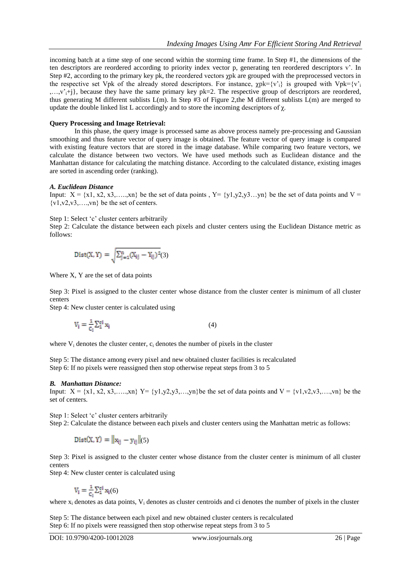incoming batch at a time step of one second within the storming time frame. In Step #1, the dimensions of the ten descriptors are reordered according to priority index vector p, generating ten reordered descriptors v". In Step #2, according to the primary key pk, the reordered vectors  $\gamma$ pk are grouped with the preprocessed vectors in the respective set Vpk of the already stored descriptors. For instance,  $\gamma p k = \{v_i\}$  is grouped with Vpk= $\{v_i\}$  $,...,v^*$ ;+j}, because they have the same primary key pk=2. The respective group of descriptors are reordered, thus generating M different sublists L(m). In Step #3 of Figure 2,the M different sublists L(m) are merged to update the double linked list L accordingly and to store the incoming descriptors of  $\chi$ .

# **Query Processing and Image Retrieval:**

In this phase, the query image is processed same as above process namely pre-processing and Gaussian smoothing and thus feature vector of query image is obtained. The feature vector of query image is compared with existing feature vectors that are stored in the image database. While comparing two feature vectors, we calculate the distance between two vectors. We have used methods such as Euclidean distance and the Manhattan distance for calculating the matching distance. According to the calculated distance, existing images are sorted in ascending order (ranking).

#### *A. Euclidean Distance*

Input:  $X = \{x1, x2, x3, \ldots, xn\}$  be the set of data points ,  $Y = \{y1, y2, y3, \ldots, Yn\}$  be the set of data points and  $V =$  $\{v1,v2,v3,\ldots,vn\}$  be the set of centers.

Step 1: Select 'c' cluster centers arbitrarily

Step 2: Calculate the distance between each pixels and cluster centers using the Euclidean Distance metric as follows:

$$
\text{Dist}(X,Y) = \sqrt{\Sigma_{j=1}^n (X_{ij} - Y_{ij})^2} (3)
$$

Where X, Y are the set of data points

Step 3: Pixel is assigned to the cluster center whose distance from the cluster center is minimum of all cluster centers

Step 4: New cluster center is calculated using

$$
V_i = \frac{1}{c_i} \sum_{i=1}^{ci} x_i \tag{4}
$$

where  $V_i$  denotes the cluster center,  $c_i$  denotes the number of pixels in the cluster

Step 5: The distance among every pixel and new obtained cluster facilities is recalculated Step 6: If no pixels were reassigned then stop otherwise repeat steps from 3 to 5

# *B. Manhattan Distance:*

Input:  $X = \{x1, x2, x3, \ldots, xn\}$   $Y = \{y1, y2, y3, \ldots, yn\}$  be the set of data points and  $V = \{v1, v2, v3, \ldots, yn\}$  be the set of centers.

Step 1: Select 'c' cluster centers arbitrarily

Step 2: Calculate the distance between each pixels and cluster centers using the Manhattan metric as follows:

 $Dist(X, Y) = ||x_{ii} - y_{ii}||(5)$ 

Step 3: Pixel is assigned to the cluster center whose distance from the cluster center is minimum of all cluster centers

Step 4: New cluster center is calculated using

$$
V_i = \frac{1}{c_i}\Sigma_1^{ci}\,x_i(6)
$$

where  $x_i$  denotes as data points,  $V_i$  denotes as cluster centroids and ci denotes the number of pixels in the cluster

Step 5: The distance between each pixel and new obtained cluster centers is recalculated Step 6: If no pixels were reassigned then stop otherwise repeat steps from 3 to 5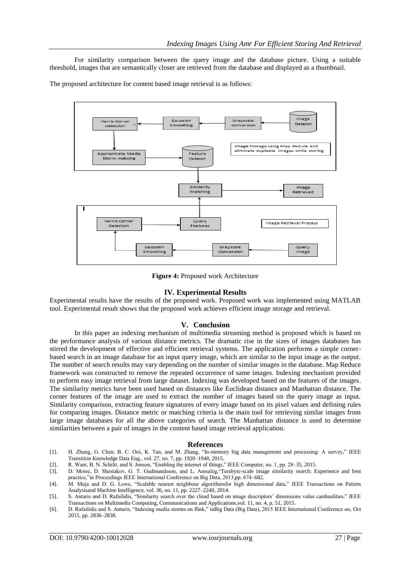For similarity comparison between the query image and the database picture. Using a suitable threshold, images that are semantically closer are retrieved from the database and displayed as a thumbnail.

The proposed architecture for content based image retrieval is as follows:



**Figure 4:** Proposed work Architecture

# **IV. Experimental Results**

Experimental results have the results of the proposed work. Proposed work was implemented using MATLAB tool. Experimental result shows that the proposed work achieves efficient image storage and retrieval.

# **V. Conclusion**

In this paper an indexing mechanism of multimedia streaming method is proposed which is based on the performance analysis of various distance metrics. The dramatic rise in the sizes of images databases has stirred the development of effective and efficient retrieval systems. The application performs a simple cornerbased search in an image database for an input query image, which are similar to the input image as the output. The number of search results may vary depending on the number of similar images in the database. Map Reduce framework was constructed to remove the repeated occurrence of same images. Indexing mechanism provided to perform easy image retrieval from large dataset. Indexing was developed based on the features of the images. The similarity metrics have been used based on distances like Euclidean distance and Manhattan distance. The corner features of the image are used to extract the number of images based on the query image as input. Similarity comparison, extracting feature signatures of every image based on its pixel values and defining rules for comparing images. Distance metric or matching criteria is the main tool for retrieving similar images from large image databases for all the above categories of search. The Manhattan distance is used to determine similarities between a pair of images in the content based image retrieval application.

#### **References**

- [1]. H. Zhang, G. Chen, B. C. Ooi, K. Tan, and M. Zhang, "In-memory big data management and processing: A survey," IEEE Transition Knowledge Data Eng., vol. 27, no. 7, pp. 1920–1948, 2015.
- [2]. R. Want, B. N. Schilit, and S. Jenson, "Enabling the internet of things," IEEE Computer, no. 1, pp. 28–35, 2015.
- [3]. D. Moise, D. Shestakov, G. T. Gudmundsson, and L. Amsaleg,"Terabyte-scale image similarity search: Experience and best practice,"in Proceedings IEEE International Conference on Big Data, 2013,pp. 674–682.
- [4]. M. Muja and D. G. Lowe, "Scalable nearest neighbour algorithmsfor high dimensional data," IEEE Transactions on Pattern Analysisand Machine Intelligence, vol. 36, no. 11, pp. 2227–2240, 2014.
- [5]. S. Antaris and D. Rafailidis, "Similarity search over the cloud based on image descriptors" dimensions value cardinalities," IEEE Transactions on Multimedia Computing, Communications and Applications,vol. 11, no. 4, p. 51, 2015.
- [6]. D. Rafailidis and S. Antaris, "Indexing media storms on flink," inBig Data (Big Data), 2015 IEEE International Conference on, Oct 2015, pp. 2836–2838.